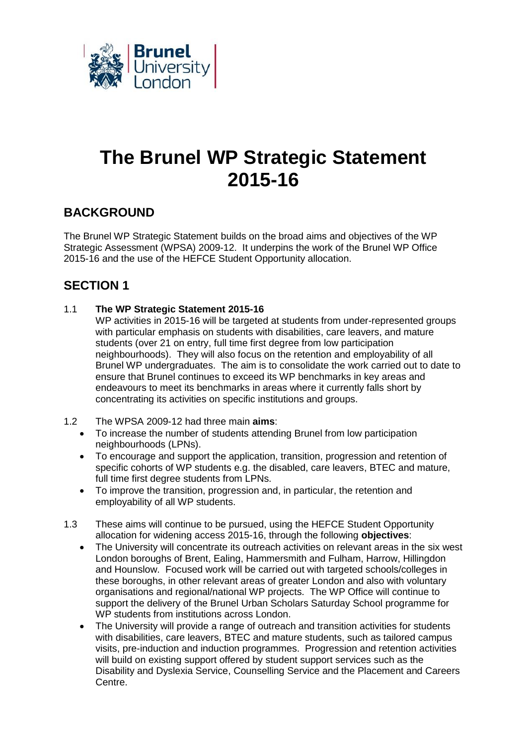

# **The Brunel WP Strategic Statement 2015-16**

## **BACKGROUND**

The Brunel WP Strategic Statement builds on the broad aims and objectives of the WP Strategic Assessment (WPSA) 2009-12. It underpins the work of the Brunel WP Office 2015-16 and the use of the HEFCE Student Opportunity allocation.

## **SECTION 1**

- 1.1 **The WP Strategic Statement 2015-16**
	- WP activities in 2015-16 will be targeted at students from under-represented groups with particular emphasis on students with disabilities, care leavers, and mature students (over 21 on entry, full time first degree from low participation neighbourhoods). They will also focus on the retention and employability of all Brunel WP undergraduates. The aim is to consolidate the work carried out to date to ensure that Brunel continues to exceed its WP benchmarks in key areas and endeavours to meet its benchmarks in areas where it currently falls short by concentrating its activities on specific institutions and groups.
- 1.2 The WPSA 2009-12 had three main **aims**:
	- To increase the number of students attending Brunel from low participation neighbourhoods (LPNs).
	- To encourage and support the application, transition, progression and retention of specific cohorts of WP students e.g. the disabled, care leavers, BTEC and mature, full time first degree students from LPNs.
	- To improve the transition, progression and, in particular, the retention and employability of all WP students.
- 1.3 These aims will continue to be pursued, using the HEFCE Student Opportunity allocation for widening access 2015-16, through the following **objectives**:
	- The University will concentrate its outreach activities on relevant areas in the six west London boroughs of Brent, Ealing, Hammersmith and Fulham, Harrow, Hillingdon and Hounslow. Focused work will be carried out with targeted schools/colleges in these boroughs, in other relevant areas of greater London and also with voluntary organisations and regional/national WP projects. The WP Office will continue to support the delivery of the Brunel Urban Scholars Saturday School programme for WP students from institutions across London.
	- The University will provide a range of outreach and transition activities for students with disabilities, care leavers, BTEC and mature students, such as tailored campus visits, pre-induction and induction programmes. Progression and retention activities will build on existing support offered by student support services such as the Disability and Dyslexia Service, Counselling Service and the Placement and Careers Centre.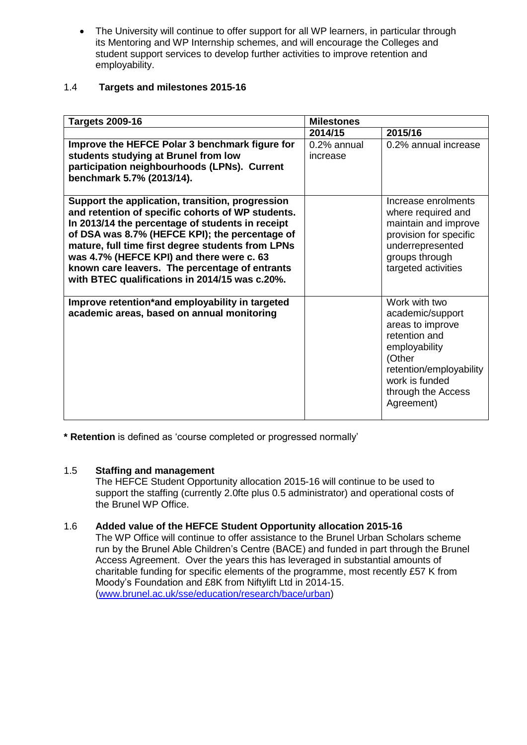• The University will continue to offer support for all WP learners, in particular through its Mentoring and WP Internship schemes, and will encourage the Colleges and student support services to develop further activities to improve retention and employability.

#### 1.4 **Targets and milestones 2015-16**

| <b>Targets 2009-16</b>                                                                                                                                                                                                                                                                                                                                                                                            | <b>Milestones</b>       |                                                                                                                                                                                    |
|-------------------------------------------------------------------------------------------------------------------------------------------------------------------------------------------------------------------------------------------------------------------------------------------------------------------------------------------------------------------------------------------------------------------|-------------------------|------------------------------------------------------------------------------------------------------------------------------------------------------------------------------------|
|                                                                                                                                                                                                                                                                                                                                                                                                                   | 2014/15                 | 2015/16                                                                                                                                                                            |
| Improve the HEFCE Polar 3 benchmark figure for<br>students studying at Brunel from low<br>participation neighbourhoods (LPNs). Current<br>benchmark 5.7% (2013/14).                                                                                                                                                                                                                                               | 0.2% annual<br>increase | 0.2% annual increase                                                                                                                                                               |
| Support the application, transition, progression<br>and retention of specific cohorts of WP students.<br>In 2013/14 the percentage of students in receipt<br>of DSA was 8.7% (HEFCE KPI); the percentage of<br>mature, full time first degree students from LPNs<br>was 4.7% (HEFCE KPI) and there were c. 63<br>known care leavers. The percentage of entrants<br>with BTEC qualifications in 2014/15 was c.20%. |                         | Increase enrolments<br>where required and<br>maintain and improve<br>provision for specific<br>underrepresented<br>groups through<br>targeted activities                           |
| Improve retention*and employability in targeted<br>academic areas, based on annual monitoring                                                                                                                                                                                                                                                                                                                     |                         | Work with two<br>academic/support<br>areas to improve<br>retention and<br>employability<br>(Other<br>retention/employability<br>work is funded<br>through the Access<br>Agreement) |

**\* Retention** is defined as 'course completed or progressed normally'

#### 1.5 **Staffing and management**

The HEFCE Student Opportunity allocation 2015-16 will continue to be used to support the staffing (currently 2.0fte plus 0.5 administrator) and operational costs of the Brunel WP Office.

#### 1.6 **Added value of the HEFCE Student Opportunity allocation 2015-16**

The WP Office will continue to offer assistance to the Brunel Urban Scholars scheme run by the Brunel Able Children's Centre (BACE) and funded in part through the Brunel Access Agreement. Over the years this has leveraged in substantial amounts of charitable funding for specific elements of the programme, most recently £57 K from Moody's Foundation and £8K from Niftylift Ltd in 2014-15. [\(www.brunel.ac.uk/sse/education/research/bace/urban\)](http://www.brunel.ac.uk/sse/education/research/bace/urban)